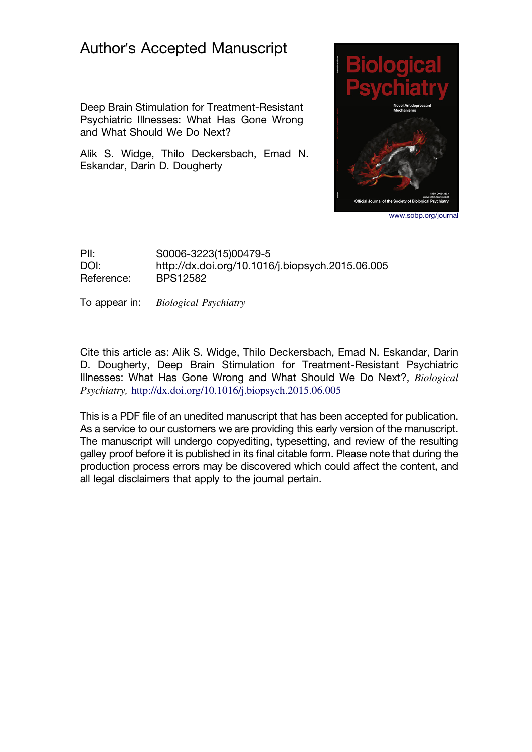# Author's Accepted Manuscript

Deep Brain Stimulation for Treatment-Resistant Psychiatric Illnesses: What Has Gone Wrong and What Should We Do Next?

Alik S. Widge, Thilo Deckersbach, Emad N. Eskandar, Darin D. Dougherty



www.sobp.org/journal

PII: S0006-3223(15)00479-5 DOI: http://dx.doi.org/10.1016/j.biopsych.2015.06.005 Reference: BPS12582

To appear in: Biological Psychiatry

Cite this article as: Alik S. Widge, Thilo Deckersbach, Emad N. Eskandar, Darin D. Dougherty, Deep Brain Stimulation for Treatment-Resistant Psychiatric Illnesses: What Has Gone Wrong and What Should We Do Next?, Biological Psychiatry, http://dx.doi.org/10.1016/j.biopsych.2015.06.005

This is a PDF file of an unedited manuscript that has been accepted for publication. As a service to our customers we are providing this early version of the manuscript. The manuscript will undergo copyediting, typesetting, and review of the resulting galley proof before it is published in its final citable form. Please note that during the production process errors may be discovered which could affect the content, and all legal disclaimers that apply to the journal pertain.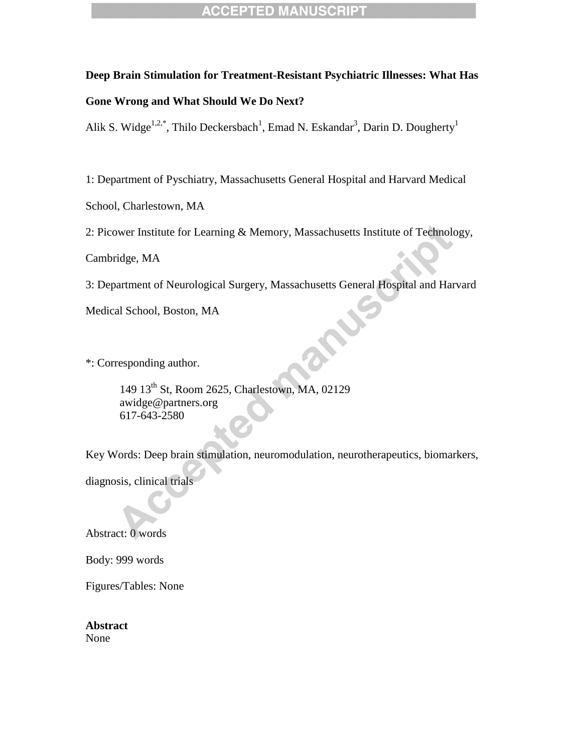#### **Deep Brain Stimulation for Treatment-Resistant Psychiatric Illnesses: What Has**

# **Gone Wrong and What Should We Do Next?**

Alik S. Widge<sup>1,2,\*</sup>, Thilo Deckersbach<sup>1</sup>, Emad N. Eskandar<sup>3</sup>, Darin D. Dougherty<sup>1</sup>

1: Department of Pyschiatry, Massachusetts General Hospital and Harvard Medical

School, Charlestown, MA

2: Picower Institute for Learning & Memory, Massachusetts Institute of Technology,

Cambridge, MA

3: Department of Neurological Surgery, Massachusetts General Hospital and Harvard

Medical School, Boston, MA

\*: Corresponding author.

149 13th St, Room 2625, Charlestown, MA, 02129 awidge@partners.org 617-643-2580

Key Words: Deep brain stimulation, neuromodulation, neurotherapeutics, biomarkers,

diagnosis, clinical trials

Abstract: 0 words

Body: 999 words

Figures/Tables: None

**Abstract** None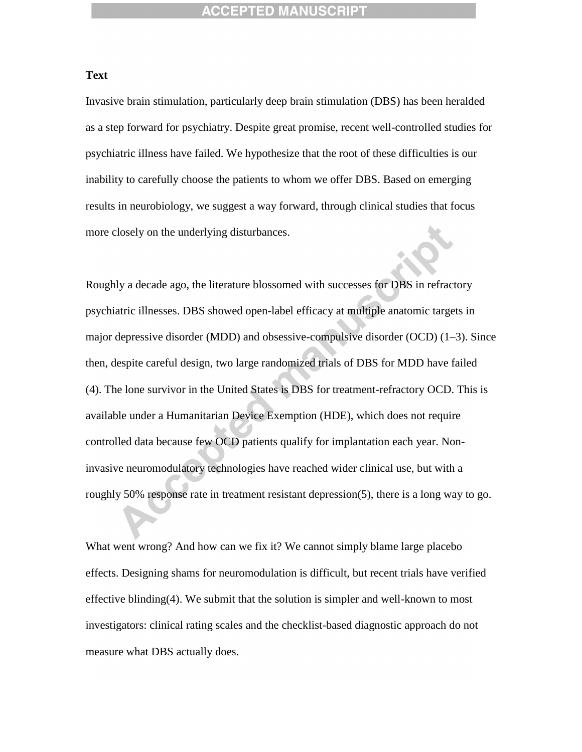#### **Text**

Invasive brain stimulation, particularly deep brain stimulation (DBS) has been heralded as a step forward for psychiatry. Despite great promise, recent well-controlled studies for psychiatric illness have failed. We hypothesize that the root of these difficulties is our inability to carefully choose the patients to whom we offer DBS. Based on emerging results in neurobiology, we suggest a way forward, through clinical studies that focus more closely on the underlying disturbances.

Roughly a decade ago, the literature blossomed with successes for DBS in refractory psychiatric illnesses. DBS showed open-label efficacy at multiple anatomic targets in major depressive disorder (MDD) and obsessive-compulsive disorder (OCD) (1–3). Since then, despite careful design, two large randomized trials of DBS for MDD have failed (4). The lone survivor in the United States is DBS for treatment-refractory OCD. This is available under a Humanitarian Device Exemption (HDE), which does not require controlled data because few OCD patients qualify for implantation each year. Noninvasive neuromodulatory technologies have reached wider clinical use, but with a roughly 50% response rate in treatment resistant depression(5), there is a long way to go.

What went wrong? And how can we fix it? We cannot simply blame large placebo effects. Designing shams for neuromodulation is difficult, but recent trials have verified effective blinding $(4)$ . We submit that the solution is simpler and well-known to most investigators: clinical rating scales and the checklist-based diagnostic approach do not measure what DBS actually does.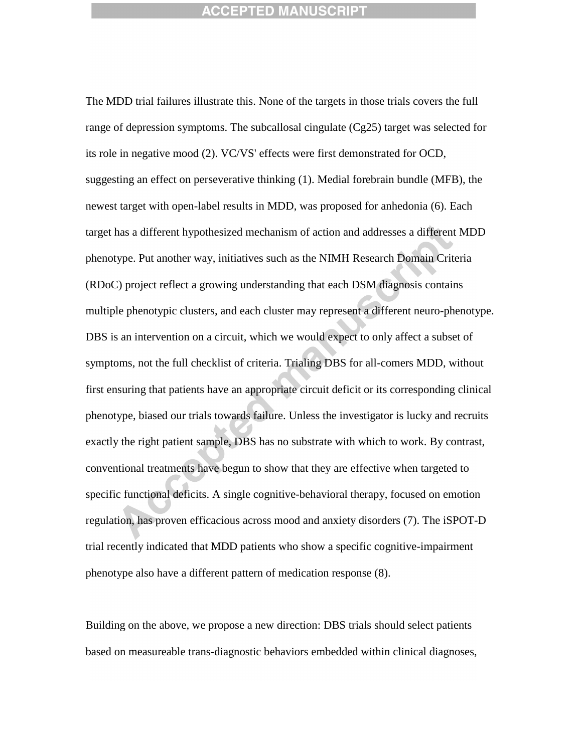The MDD trial failures illustrate this. None of the targets in those trials covers the full range of depression symptoms. The subcallosal cingulate (Cg25) target was selected for its role in negative mood (2). VC/VS' effects were first demonstrated for OCD, suggesting an effect on perseverative thinking (1). Medial forebrain bundle (MFB), the newest target with open-label results in MDD, was proposed for anhedonia (6). Each target has a different hypothesized mechanism of action and addresses a different MDD phenotype. Put another way, initiatives such as the NIMH Research Domain Criteria (RDoC) project reflect a growing understanding that each DSM diagnosis contains multiple phenotypic clusters, and each cluster may represent a different neuro-phenotype. DBS is an intervention on a circuit, which we would expect to only affect a subset of symptoms, not the full checklist of criteria. Trialing DBS for all-comers MDD, without first ensuring that patients have an appropriate circuit deficit or its corresponding clinical phenotype, biased our trials towards failure. Unless the investigator is lucky and recruits exactly the right patient sample, DBS has no substrate with which to work. By contrast, conventional treatments have begun to show that they are effective when targeted to specific functional deficits. A single cognitive-behavioral therapy, focused on emotion regulation, has proven efficacious across mood and anxiety disorders (7). The iSPOT-D trial recently indicated that MDD patients who show a specific cognitive-impairment phenotype also have a different pattern of medication response (8).

Building on the above, we propose a new direction: DBS trials should select patients based on measureable trans-diagnostic behaviors embedded within clinical diagnoses,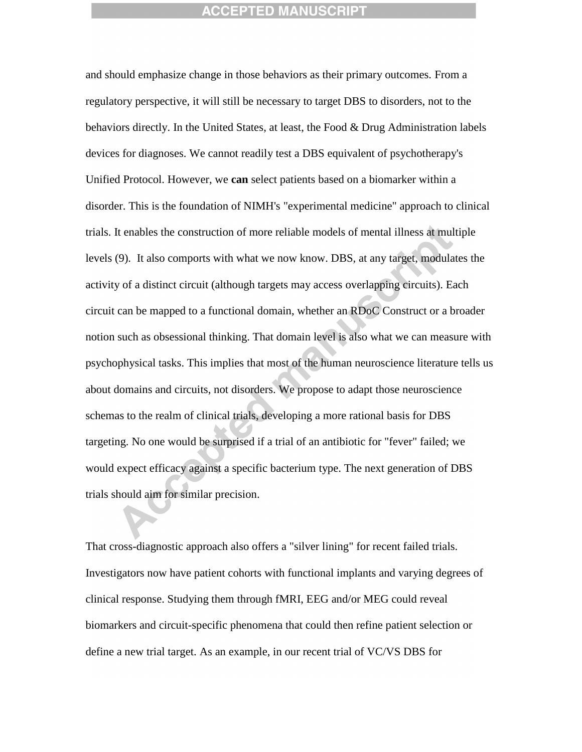and should emphasize change in those behaviors as their primary outcomes. From a regulatory perspective, it will still be necessary to target DBS to disorders, not to the behaviors directly. In the United States, at least, the Food & Drug Administration labels devices for diagnoses. We cannot readily test a DBS equivalent of psychotherapy's Unified Protocol. However, we **can** select patients based on a biomarker within a disorder. This is the foundation of NIMH's "experimental medicine" approach to clinical trials. It enables the construction of more reliable models of mental illness at multiple levels (9). It also comports with what we now know. DBS, at any target, modulates the activity of a distinct circuit (although targets may access overlapping circuits). Each circuit can be mapped to a functional domain, whether an RDoC Construct or a broader notion such as obsessional thinking. That domain level is also what we can measure with psychophysical tasks. This implies that most of the human neuroscience literature tells us about domains and circuits, not disorders. We propose to adapt those neuroscience schemas to the realm of clinical trials, developing a more rational basis for DBS targeting. No one would be surprised if a trial of an antibiotic for "fever" failed; we would expect efficacy against a specific bacterium type. The next generation of DBS trials should aim for similar precision.

That cross-diagnostic approach also offers a "silver lining" for recent failed trials. Investigators now have patient cohorts with functional implants and varying degrees of clinical response. Studying them through fMRI, EEG and/or MEG could reveal biomarkers and circuit-specific phenomena that could then refine patient selection or define a new trial target. As an example, in our recent trial of VC/VS DBS for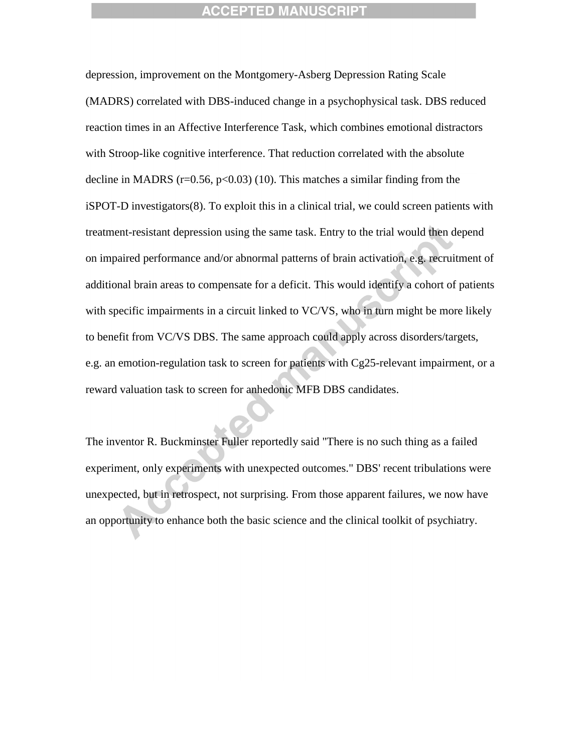depression, improvement on the Montgomery-Asberg Depression Rating Scale (MADRS) correlated with DBS-induced change in a psychophysical task. DBS reduced reaction times in an Affective Interference Task, which combines emotional distractors with Stroop-like cognitive interference. That reduction correlated with the absolute decline in MADRS ( $r=0.56$ ,  $p<0.03$ ) (10). This matches a similar finding from the iSPOT-D investigators(8). To exploit this in a clinical trial, we could screen patients with treatment-resistant depression using the same task. Entry to the trial would then depend on impaired performance and/or abnormal patterns of brain activation, e.g. recruitment of additional brain areas to compensate for a deficit. This would identify a cohort of patients with specific impairments in a circuit linked to VC/VS, who in turn might be more likely to benefit from VC/VS DBS. The same approach could apply across disorders/targets, e.g. an emotion-regulation task to screen for patients with Cg25-relevant impairment, or a reward valuation task to screen for anhedonic MFB DBS candidates.

The inventor R. Buckminster Fuller reportedly said "There is no such thing as a failed experiment, only experiments with unexpected outcomes." DBS' recent tribulations were unexpected, but in retrospect, not surprising. From those apparent failures, we now have an opportunity to enhance both the basic science and the clinical toolkit of psychiatry.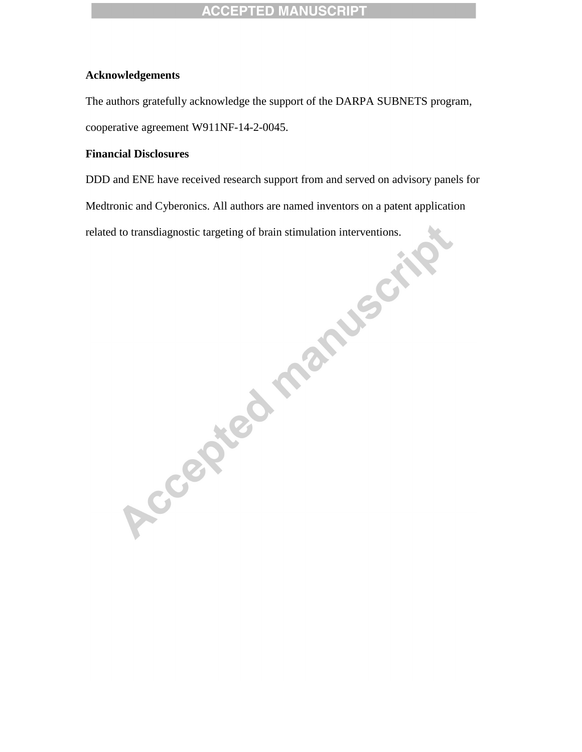# **Acknowledgements**

The authors gratefully acknowledge the support of the DARPA SUBNETS program, cooperative agreement W911NF-14-2-0045.

# **Financial Disclosures**

DDD and ENE have received research support from and served on advisory panels for Medtronic and Cyberonics. All authors are named inventors on a patent application

related to transdiagnostic targeting of brain stimulation interventions.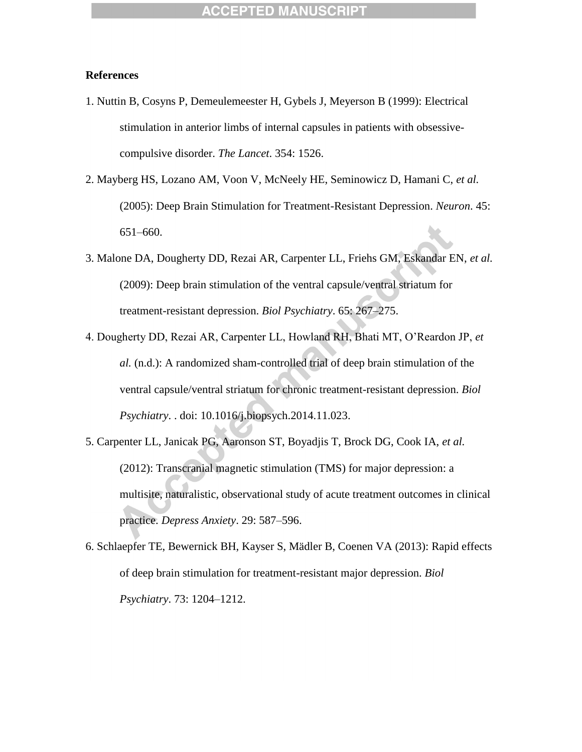# **References**

- 1. Nuttin B, Cosyns P, Demeulemeester H, Gybels J, Meyerson B (1999): Electrical stimulation in anterior limbs of internal capsules in patients with obsessivecompulsive disorder. *The Lancet*. 354: 1526.
- 2. Mayberg HS, Lozano AM, Voon V, McNeely HE, Seminowicz D, Hamani C, *et al.* (2005): Deep Brain Stimulation for Treatment-Resistant Depression. *Neuron*. 45: 651–660.
- 3. Malone DA, Dougherty DD, Rezai AR, Carpenter LL, Friehs GM, Eskandar EN, *et al.* (2009): Deep brain stimulation of the ventral capsule/ventral striatum for treatment-resistant depression. *Biol Psychiatry*. 65: 267–275.
- 4. Dougherty DD, Rezai AR, Carpenter LL, Howland RH, Bhati MT, O'Reardon JP, *et al.* (n.d.): A randomized sham-controlled trial of deep brain stimulation of the ventral capsule/ventral striatum for chronic treatment-resistant depression. *Biol Psychiatry*. . doi: 10.1016/j.biopsych.2014.11.023.
- 5. Carpenter LL, Janicak PG, Aaronson ST, Boyadjis T, Brock DG, Cook IA, *et al.* (2012): Transcranial magnetic stimulation (TMS) for major depression: a multisite, naturalistic, observational study of acute treatment outcomes in clinical practice. *Depress Anxiety*. 29: 587–596.
- 6. Schlaepfer TE, Bewernick BH, Kayser S, Mädler B, Coenen VA (2013): Rapid effects of deep brain stimulation for treatment-resistant major depression. *Biol Psychiatry*. 73: 1204–1212.